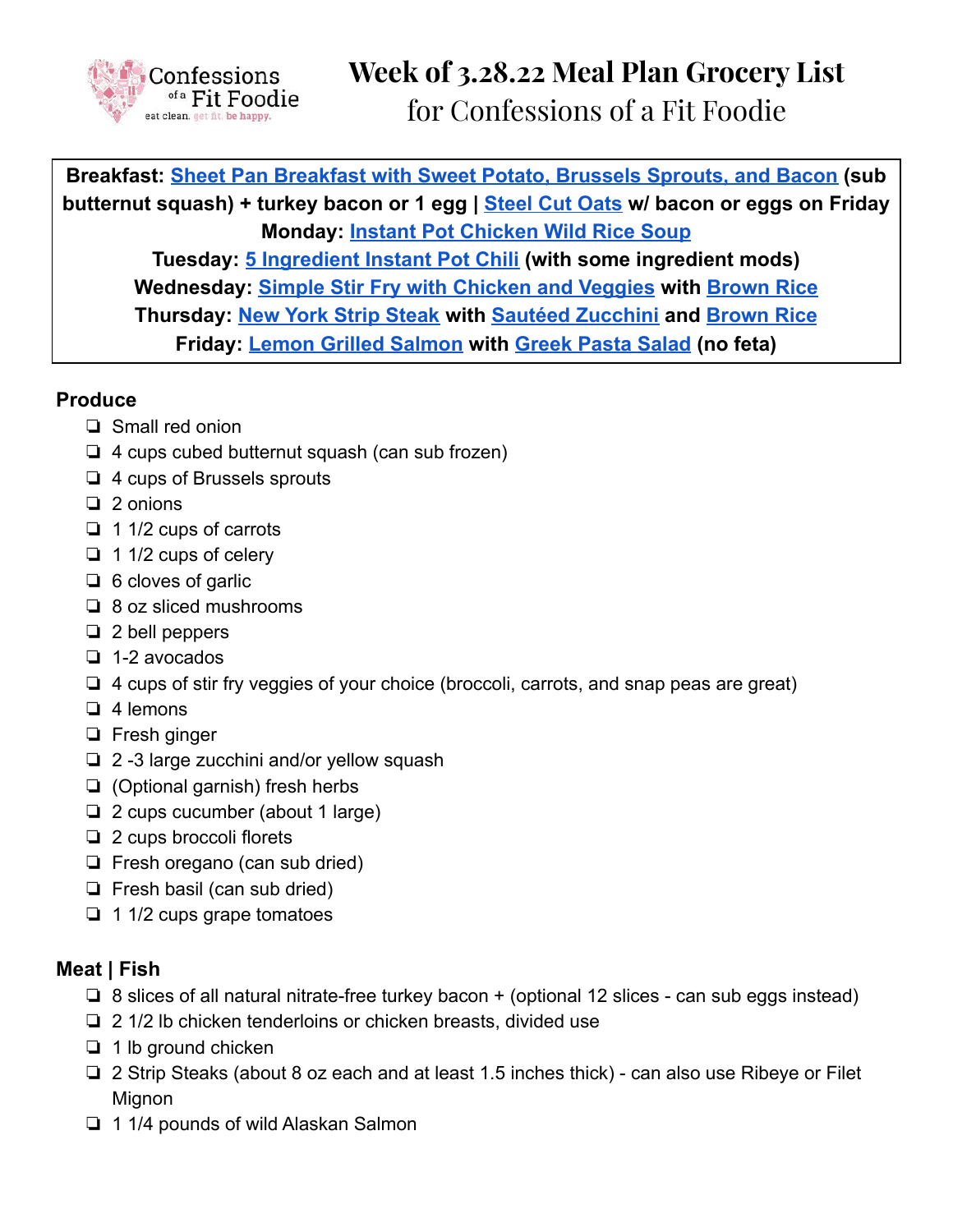

**Breakfast: Sheet Pan [Breakfast](https://confessionsofafitfoodie.com/80-day-obsession-sheet-pan-breakfast/) with Sweet Potato, Brussels Sprouts, and Bacon (sub butternut squash) + turkey bacon or 1 egg | [Steel](https://confessionsofafitfoodie.com/instant-pot-steel-cut-oats/) Cut Oats w/ bacon or eggs on Friday Monday: Instant Pot [Chicken](https://confessionsofafitfoodie.com/instant-pot-chicken-and-wild-rice-soup-gluten-and-dairy-free/) Wild Rice Soup Tuesday: 5 [Ingredient](https://confessionsofafitfoodie.com/5-ingredient-instant-pot-chili-21-day-fix-ww/) Instant Pot Chili (with some ingredient mods) Wednesday: Simple Stir Fry with [Chicken](https://confessionsofafitfoodie.com/21-day-fix-chicken-and-veggie-stir-fry/) and Veggies with [Brown](https://confessionsofafitfoodie.com/freezer-friendly-instant-pot-brown-rice/) Rice Thursday: New York Strip [Steak](https://confessionsofafitfoodie.com/how-to-make-new-york-strip-steak/) with Sautéed [Zucchini](https://confessionsofafitfoodie.com/sauteed-zucchini/) and [Brown](https://confessionsofafitfoodie.com/freezer-friendly-instant-pot-brown-rice/) Rice Friday: Lemon Grilled [Salmon](https://confessionsofafitfoodie.com/21-day-fix-simple-grilled-salmon/) with [Greek](https://confessionsofafitfoodie.com/21-day-fix-greek-pasta-salad-3/) Pasta Salad (no feta)**

# **Produce**

- ❏ Small red onion
- ❏ 4 cups cubed butternut squash (can sub frozen)
- ❏ 4 cups of Brussels sprouts
- ❏ 2 onions
- ❏ 1 1/2 cups of carrots
- ❏ 1 1/2 cups of celery
- ❏ 6 cloves of garlic
- ❏ 8 oz sliced mushrooms
- ❏ 2 bell peppers
- ❏ 1-2 avocados
- ❏ 4 cups of stir fry veggies of your choice (broccoli, carrots, and snap peas are great)
- ❏ 4 lemons
- ❏ Fresh ginger
- ❏ 2 -3 large zucchini and/or yellow squash
- ❏ (Optional garnish) fresh herbs
- ❏ 2 cups cucumber (about 1 large)
- ❏ 2 cups broccoli florets
- ❏ Fresh oregano (can sub dried)
- ❏ Fresh basil (can sub dried)
- ❏ 1 1/2 cups grape tomatoes

# **Meat | Fish**

- ❏ 8 slices of all natural nitrate-free turkey bacon + (optional 12 slices can sub eggs instead)
- ❏ 2 1/2 lb chicken tenderloins or chicken breasts, divided use
- ❏ 1 lb ground chicken
- ❏ 2 Strip Steaks (about 8 oz each and at least 1.5 inches thick) can also use Ribeye or Filet **Mignon**
- ❏ 1 1/4 pounds of wild Alaskan Salmon